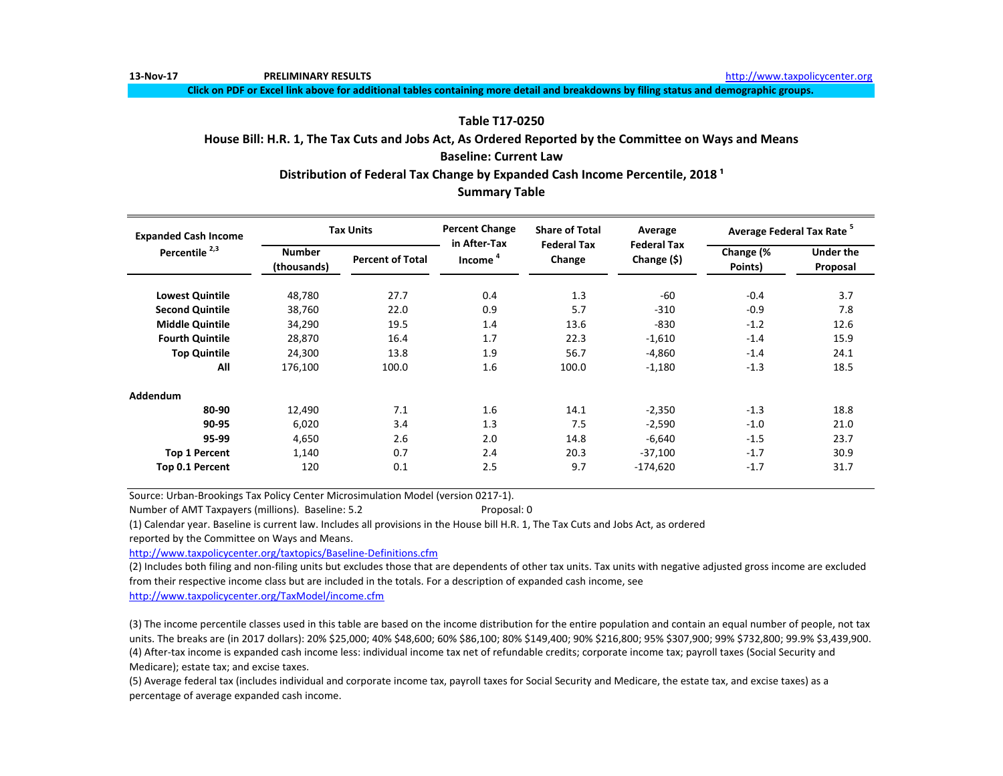**13-Nov-17 PRELIMINARY RESULTS** [http://www.t](http://www.taxpolicycenter.org/)axpolicycenter.org

**Click on PDF or Excel link above for additional tables containing more detail and breakdowns by filing status and demographic groups.**

# **Table T17-0250**

# **House Bill: H.R. 1, The Tax Cuts and Jobs Act, As Ordered Reported by the Committee on Ways and Means Baseline: Current Law**

Distribution of Federal Tax Change by Expanded Cash Income Percentile, 2018<sup>1</sup>

# **Summary Table**

| <b>Expanded Cash Income</b> |                              | <b>Tax Units</b>        | <b>Percent Change</b><br>in After-Tax | <b>Share of Total</b><br><b>Federal Tax</b> | Average                           | Average Federal Tax Rate <sup>5</sup> |                              |  |
|-----------------------------|------------------------------|-------------------------|---------------------------------------|---------------------------------------------|-----------------------------------|---------------------------------------|------------------------------|--|
| Percentile <sup>2,3</sup>   | <b>Number</b><br>(thousands) | <b>Percent of Total</b> | Income <sup>4</sup>                   | Change                                      | <b>Federal Tax</b><br>Change (\$) | Change (%<br>Points)                  | <b>Under the</b><br>Proposal |  |
| <b>Lowest Quintile</b>      | 48,780                       | 27.7                    | 0.4                                   | 1.3                                         | -60                               | $-0.4$                                | 3.7                          |  |
| <b>Second Quintile</b>      | 38,760                       | 22.0                    | 0.9                                   | 5.7                                         | $-310$                            | $-0.9$                                | 7.8                          |  |
| <b>Middle Quintile</b>      | 34,290                       | 19.5                    | 1.4                                   | 13.6                                        | $-830$                            | $-1.2$                                | 12.6                         |  |
| <b>Fourth Quintile</b>      | 28,870                       | 16.4                    | 1.7                                   | 22.3                                        | $-1,610$                          | $-1.4$                                | 15.9                         |  |
| <b>Top Quintile</b>         | 24,300                       | 13.8                    | 1.9                                   | 56.7                                        | $-4,860$                          | $-1.4$                                | 24.1                         |  |
| All                         | 176,100                      | 100.0                   | 1.6                                   | 100.0                                       | $-1,180$                          | $-1.3$                                | 18.5                         |  |
| Addendum                    |                              |                         |                                       |                                             |                                   |                                       |                              |  |
| 80-90                       | 12,490                       | 7.1                     | 1.6                                   | 14.1                                        | $-2,350$                          | $-1.3$                                | 18.8                         |  |
| 90-95                       | 6,020                        | 3.4                     | 1.3                                   | 7.5                                         | $-2,590$                          | $-1.0$                                | 21.0                         |  |
| 95-99                       | 4,650                        | 2.6                     | 2.0                                   | 14.8                                        | $-6,640$                          | $-1.5$                                | 23.7                         |  |
| <b>Top 1 Percent</b>        | 1,140                        | 0.7                     | 2.4                                   | 20.3                                        | $-37,100$                         | $-1.7$                                | 30.9                         |  |
| Top 0.1 Percent             | 120                          | 0.1                     | 2.5                                   | 9.7                                         | $-174,620$                        | $-1.7$                                | 31.7                         |  |

Source: Urban-Brookings Tax Policy Center Microsimulation Model (version 0217-1).

Number of AMT Taxpayers (millions). Baseline: 5.2 Proposal: 0

(1) Calendar year. Baseline is current law. Includes all provisions in the House bill H.R. 1, The Tax Cuts and Jobs Act, as ordered

reported by the Committee on Ways and Means.

[http://www.taxpolicycente](http://www.taxpolicycenter.org/taxtopics/Baseline-Definitions.cfm)r.org/taxtopics/Baseline-Definitions.cfm

(2) Includes both filing and non-filing units but excludes those that are dependents of other tax units. Tax units with negative adjusted gross income are excluded from their respective income class but are included in the totals. For a description of expanded cash income, see

[http://www.taxpolicycente](http://www.taxpolicycenter.org/TaxModel/income.cfm)r.org/TaxModel/income.cfm

(3) The income percentile classes used in this table are based on the income distribution for the entire population and contain an equal number of people, not tax units. The breaks are (in 2017 dollars): 20% \$25,000; 40% \$48,600; 60% \$86,100; 80% \$149,400; 90% \$216,800; 95% \$307,900; 99% \$732,800; 99.9% \$3,439,900. (4) After-tax income is expanded cash income less: individual income tax net of refundable credits; corporate income tax; payroll taxes (Social Security and Medicare); estate tax; and excise taxes.

(5) Average federal tax (includes individual and corporate income tax, payroll taxes for Social Security and Medicare, the estate tax, and excise taxes) as a percentage of average expanded cash income.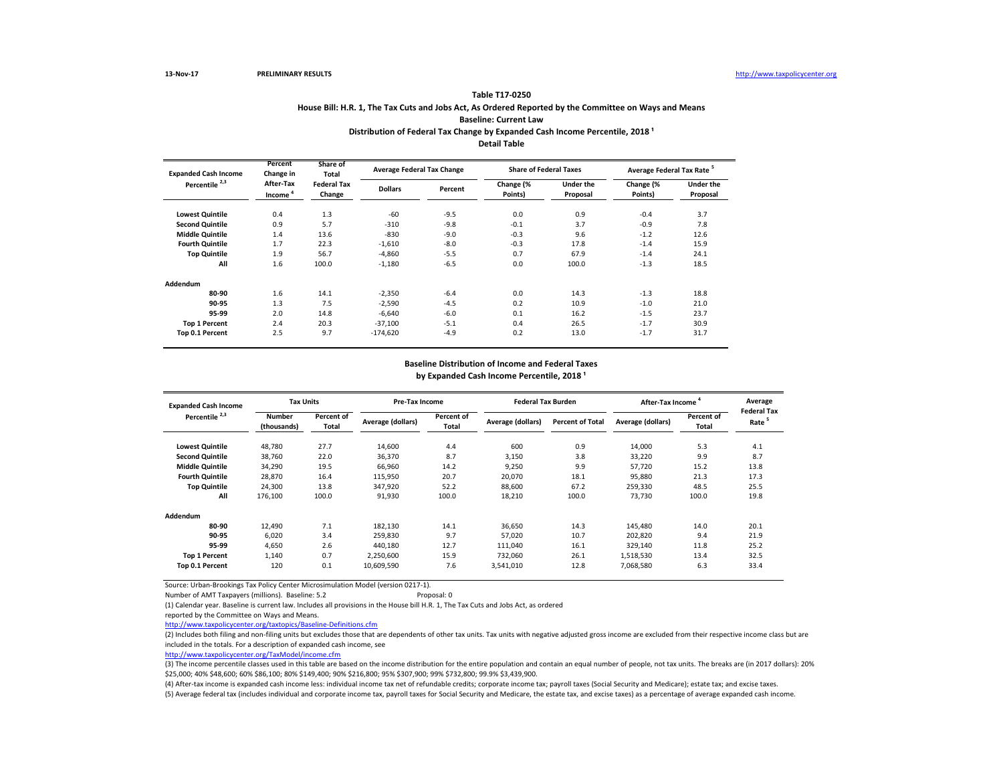### **House Bill: H.R. 1, The Tax Cuts and Jobs Act, As Ordered Reported by the Committee on Ways and Means Baseline: Current Law Table T17-0250** Distribution of Federal Tax Change by Expanded Cash Income Percentile, 2018<sup>1</sup> **Detail Table**

| <b>Expanded Cash Income</b> | Percent<br>Change in             | Share of<br><b>Total</b>     | <b>Average Federal Tax Change</b> |         | <b>Share of Federal Taxes</b> |                              | Average Federal Tax Rate <sup>5</sup> |                              |  |
|-----------------------------|----------------------------------|------------------------------|-----------------------------------|---------|-------------------------------|------------------------------|---------------------------------------|------------------------------|--|
| Percentile <sup>2,3</sup>   | After-Tax<br>Income <sup>4</sup> | <b>Federal Tax</b><br>Change | <b>Dollars</b>                    | Percent | Change (%<br>Points)          | <b>Under the</b><br>Proposal | Change (%<br>Points)                  | <b>Under the</b><br>Proposal |  |
| <b>Lowest Quintile</b>      | 0.4                              | 1.3                          | $-60$                             | $-9.5$  | 0.0                           | 0.9                          | $-0.4$                                | 3.7                          |  |
| <b>Second Quintile</b>      | 0.9                              | 5.7                          | $-310$                            | $-9.8$  | $-0.1$                        | 3.7                          | $-0.9$                                | 7.8                          |  |
| <b>Middle Quintile</b>      | 1.4                              | 13.6                         | $-830$                            | $-9.0$  | $-0.3$                        | 9.6                          | $-1.2$                                | 12.6                         |  |
| <b>Fourth Quintile</b>      | 1.7                              | 22.3                         | $-1.610$                          | $-8.0$  | $-0.3$                        | 17.8                         | $-1.4$                                | 15.9                         |  |
| <b>Top Quintile</b>         | 1.9                              | 56.7                         | $-4.860$                          | $-5.5$  | 0.7                           | 67.9                         | $-1.4$                                | 24.1                         |  |
| All                         | 1.6                              | 100.0                        | $-1,180$                          | $-6.5$  | 0.0                           | 100.0                        | $-1.3$                                | 18.5                         |  |
| Addendum                    |                                  |                              |                                   |         |                               |                              |                                       |                              |  |
| 80-90                       | 1.6                              | 14.1                         | $-2,350$                          | $-6.4$  | 0.0                           | 14.3                         | $-1.3$                                | 18.8                         |  |
| 90-95                       | 1.3                              | 7.5                          | $-2,590$                          | $-4.5$  | 0.2                           | 10.9                         | $-1.0$                                | 21.0                         |  |
| 95-99                       | 2.0                              | 14.8                         | $-6,640$                          | $-6.0$  | 0.1                           | 16.2                         | $-1.5$                                | 23.7                         |  |
| <b>Top 1 Percent</b>        | 2.4                              | 20.3                         | $-37,100$                         | $-5.1$  | 0.4                           | 26.5                         | $-1.7$                                | 30.9                         |  |
| Top 0.1 Percent             | 2.5                              | 9.7                          | $-174,620$                        | $-4.9$  | 0.2                           | 13.0                         | $-1.7$                                | 31.7                         |  |

#### **Baseline Distribution of Income and Federal Taxes**

by Expanded Cash Income Percentile, 2018<sup>1</sup>

| <b>Expanded Cash Income</b> |                              | <b>Tax Units</b>    |                   | <b>Pre-Tax Income</b>      |                   | <b>Federal Tax Burden</b> | After-Tax Income  | Average<br><b>Federal Tax</b> |                   |
|-----------------------------|------------------------------|---------------------|-------------------|----------------------------|-------------------|---------------------------|-------------------|-------------------------------|-------------------|
| Percentile <sup>2,3</sup>   | <b>Number</b><br>(thousands) | Percent of<br>Total | Average (dollars) | Percent of<br><b>Total</b> | Average (dollars) | <b>Percent of Total</b>   | Average (dollars) | Percent of<br>Total           | Rate <sup>5</sup> |
| <b>Lowest Quintile</b>      | 48,780                       | 27.7                | 14,600            | 4.4                        | 600               | 0.9                       | 14,000            | 5.3                           | 4.1               |
| <b>Second Quintile</b>      | 38,760                       | 22.0                | 36,370            | 8.7                        | 3,150             | 3.8                       | 33,220            | 9.9                           | 8.7               |
| <b>Middle Quintile</b>      | 34,290                       | 19.5                | 66,960            | 14.2                       | 9,250             | 9.9                       | 57.720            | 15.2                          | 13.8              |
| <b>Fourth Quintile</b>      | 28,870                       | 16.4                | 115,950           | 20.7                       | 20,070            | 18.1                      | 95.880            | 21.3                          | 17.3              |
| <b>Top Quintile</b>         | 24,300                       | 13.8                | 347,920           | 52.2                       | 88,600            | 67.2                      | 259,330           | 48.5                          | 25.5              |
| All                         | 176,100                      | 100.0               | 91,930            | 100.0                      | 18,210            | 100.0                     | 73,730            | 100.0                         | 19.8              |
| Addendum                    |                              |                     |                   |                            |                   |                           |                   |                               |                   |
| 80-90                       | 12,490                       | 7.1                 | 182,130           | 14.1                       | 36,650            | 14.3                      | 145,480           | 14.0                          | 20.1              |
| 90-95                       | 6,020                        | 3.4                 | 259,830           | 9.7                        | 57,020            | 10.7                      | 202,820           | 9.4                           | 21.9              |
| 95-99                       | 4,650                        | 2.6                 | 440.180           | 12.7                       | 111,040           | 16.1                      | 329,140           | 11.8                          | 25.2              |
| <b>Top 1 Percent</b>        | 1,140                        | 0.7                 | 2,250,600         | 15.9                       | 732,060           | 26.1                      | 1,518,530         | 13.4                          | 32.5              |
| Top 0.1 Percent             | 120                          | 0.1                 | 10,609,590        | 7.6                        | 3,541,010         | 12.8                      | 7,068,580         | 6.3                           | 33.4              |

Source: Urban-Brookings Tax Policy Center Microsimulation Model (version 0217-1).

Number of AMT Taxpayers (millions). Baseline: 5.2 Proposal: 0

(1) Calendar year. Baseline is current law. Includes all provisions in the House bill H.R. 1, The Tax Cuts and Jobs Act, as ordered

reported by the Committee on Ways and Means.

<http://www.taxpolicycenter.org/taxtopics/Baseline-Definitions.cfm>

(2) Includes both filing and non-filing units but excludes those that are dependents of other tax units. Tax units with negative adjusted gross income are excluded from their respective income class but are included in the totals. For a description of expanded cash income, see

[http://www.taxpolicycente](http://www.taxpolicycenter.org/TaxModel/income.cfm)r.org/TaxModel/income.cfm

(3) The income percentile classes used in this table are based on the income distribution for the entire population and contain an equal number of people, not tax units. The breaks are (in 2017 dollars): 20% \$25,000; 40% \$48,600; 60% \$86,100; 80% \$149,400; 90% \$216,800; 95% \$307,900; 99% \$732,800; 99.9% \$3,439,900.

(5) Average federal tax (includes individual and corporate income tax, payroll taxes for Social Security and Medicare, the estate tax, and excise taxes) as a percentage of average expanded cash income. (4) After-tax income is expanded cash income less: individual income tax net of refundable credits; corporate income tax; payroll taxes (Social Security and Medicare); estate tax; and excise taxes.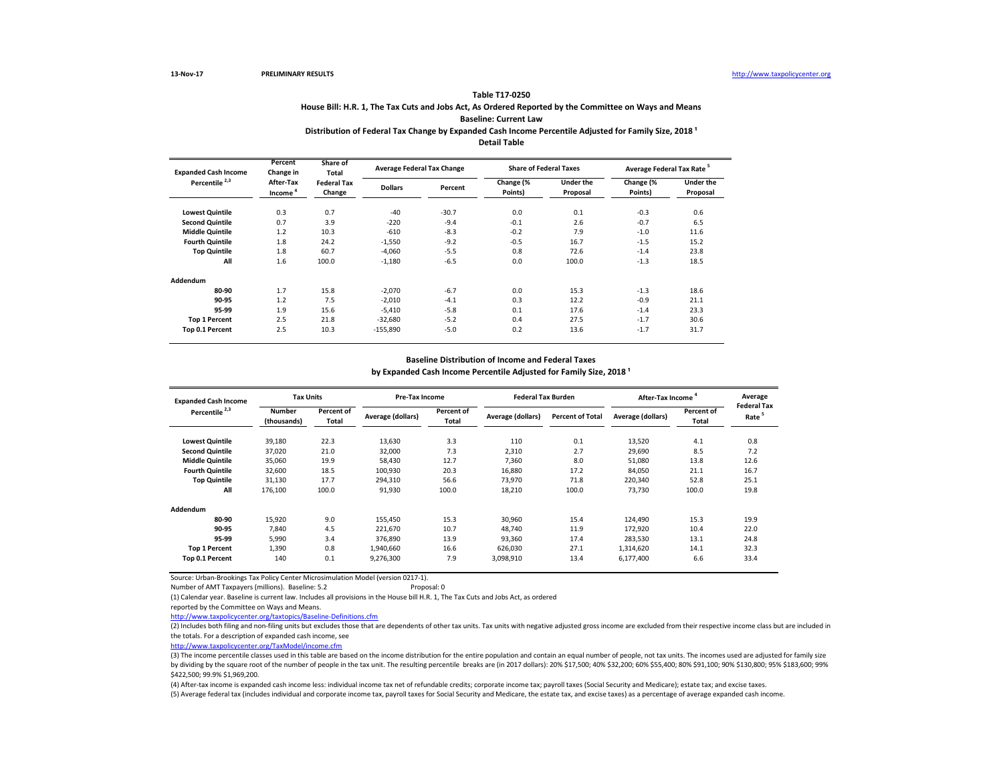### **House Bill: H.R. 1, The Tax Cuts and Jobs Act, As Ordered Reported by the Committee on Ways and Means Baseline: Current Law**

#### Distribution of Federal Tax Change by Expanded Cash Income Percentile Adjusted for Family Size, 2018<sup>1</sup> **Detail Table**

| <b>Expanded Cash Income</b> | Percent<br>Change in | Share of<br>Total            | <b>Average Federal Tax Change</b> |         |                      | <b>Share of Federal Taxes</b> | Average Federal Tax Rate <sup>5</sup> |                              |  |
|-----------------------------|----------------------|------------------------------|-----------------------------------|---------|----------------------|-------------------------------|---------------------------------------|------------------------------|--|
| Percentile <sup>2,3</sup>   | After-Tax<br>Income  | <b>Federal Tax</b><br>Change | <b>Dollars</b>                    | Percent | Change (%<br>Points) | <b>Under the</b><br>Proposal  | Change (%<br>Points)                  | <b>Under the</b><br>Proposal |  |
| <b>Lowest Quintile</b>      | 0.3                  | 0.7                          | $-40$                             | $-30.7$ | 0.0                  | 0.1                           | $-0.3$                                | 0.6                          |  |
| <b>Second Quintile</b>      | 0.7                  | 3.9                          | $-220$                            | $-9.4$  | $-0.1$               | 2.6                           | $-0.7$                                | 6.5                          |  |
| <b>Middle Quintile</b>      | 1.2                  | 10.3                         | $-610$                            | $-8.3$  | $-0.2$               | 7.9                           | $-1.0$                                | 11.6                         |  |
| <b>Fourth Quintile</b>      | 1.8                  | 24.2                         | $-1,550$                          | $-9.2$  | $-0.5$               | 16.7                          | $-1.5$                                | 15.2                         |  |
| <b>Top Quintile</b>         | 1.8                  | 60.7                         | $-4.060$                          | $-5.5$  | 0.8                  | 72.6                          | $-1.4$                                | 23.8                         |  |
| All                         | 1.6                  | 100.0                        | $-1,180$                          | $-6.5$  | 0.0                  | 100.0                         | $-1.3$                                | 18.5                         |  |
| Addendum                    |                      |                              |                                   |         |                      |                               |                                       |                              |  |
| 80-90                       | 1.7                  | 15.8                         | $-2,070$                          | $-6.7$  | 0.0                  | 15.3                          | $-1.3$                                | 18.6                         |  |
| 90-95                       | 1.2                  | 7.5                          | $-2,010$                          | $-4.1$  | 0.3                  | 12.2                          | $-0.9$                                | 21.1                         |  |
| 95-99                       | 1.9                  | 15.6                         | $-5,410$                          | $-5.8$  | 0.1                  | 17.6                          | $-1.4$                                | 23.3                         |  |
| <b>Top 1 Percent</b>        | 2.5                  | 21.8                         | $-32,680$                         | $-5.2$  | 0.4                  | 27.5                          | $-1.7$                                | 30.6                         |  |
| Top 0.1 Percent             | 2.5                  | 10.3                         | $-155,890$                        | $-5.0$  | 0.2                  | 13.6                          | $-1.7$                                | 31.7                         |  |

#### **Baseline Distribution of Income and Federal Taxes**

by Expanded Cash Income Percentile Adjusted for Family Size, 2018<sup>1</sup>

| <b>Expanded Cash Income</b> |                              | <b>Tax Units</b>    |                   | <b>Pre-Tax Income</b> |                   | <b>Federal Tax Burden</b> |                   | <b>After-Tax Income</b> | Average                                 |
|-----------------------------|------------------------------|---------------------|-------------------|-----------------------|-------------------|---------------------------|-------------------|-------------------------|-----------------------------------------|
| Percentile <sup>2,3</sup>   | <b>Number</b><br>(thousands) | Percent of<br>Total | Average (dollars) | Percent of<br>Total   | Average (dollars) | <b>Percent of Total</b>   | Average (dollars) | Percent of<br>Total     | <b>Federal Tax</b><br>Rate <sup>5</sup> |
| <b>Lowest Quintile</b>      | 39,180                       | 22.3                | 13,630            | 3.3                   | 110               | 0.1                       | 13,520            | 4.1                     | 0.8                                     |
| <b>Second Quintile</b>      | 37,020                       | 21.0                | 32,000            | 7.3                   | 2,310             | 2.7                       | 29,690            | 8.5                     | 7.2                                     |
| <b>Middle Quintile</b>      | 35,060                       | 19.9                | 58,430            | 12.7                  | 7.360             | 8.0                       | 51,080            | 13.8                    | 12.6                                    |
| <b>Fourth Quintile</b>      | 32,600                       | 18.5                | 100,930           | 20.3                  | 16,880            | 17.2                      | 84,050            | 21.1                    | 16.7                                    |
| <b>Top Quintile</b>         | 31,130                       | 17.7                | 294.310           | 56.6                  | 73.970            | 71.8                      | 220,340           | 52.8                    | 25.1                                    |
| All                         | 176,100                      | 100.0               | 91,930            | 100.0                 | 18,210            | 100.0                     | 73,730            | 100.0                   | 19.8                                    |
| Addendum                    |                              |                     |                   |                       |                   |                           |                   |                         |                                         |
| 80-90                       | 15,920                       | 9.0                 | 155.450           | 15.3                  | 30,960            | 15.4                      | 124,490           | 15.3                    | 19.9                                    |
| 90-95                       | 7.840                        | 4.5                 | 221,670           | 10.7                  | 48.740            | 11.9                      | 172,920           | 10.4                    | 22.0                                    |
| 95-99                       | 5,990                        | 3.4                 | 376,890           | 13.9                  | 93,360            | 17.4                      | 283,530           | 13.1                    | 24.8                                    |
| <b>Top 1 Percent</b>        | 1,390                        | 0.8                 | 1,940,660         | 16.6                  | 626,030           | 27.1                      | 1,314,620         | 14.1                    | 32.3                                    |
| Top 0.1 Percent             | 140                          | 0.1                 | 9,276,300         | 7.9                   | 3,098,910         | 13.4                      | 6,177,400         | 6.6                     | 33.4                                    |

Source: Urban-Brookings Tax Policy Center Microsimulation Model (version 0217-1). Number of AMT Taxpayers (millions). Baseline: 5.2

(1) Calendar year. Baseline is current law. Includes all provisions in the House bill H.R. 1, The Tax Cuts and Jobs Act, as ordered

reported by the Committee on Ways and Means.

<http://www.taxpolicycenter.org/taxtopics/Baseline-Definitions.cfm>

(2) Includes both filing and non-filing units but excludes those that are dependents of other tax units. Tax units with negative adjusted gross income are excluded from their respective income class but are included in the totals. For a description of expanded cash income, see

[http://www.taxpolicycente](http://www.taxpolicycenter.org/TaxModel/income.cfm)r.org/TaxModel/income.cfm

(3) The income percentile classes used in this table are based on the income distribution for the entire population and contain an equal number of people, not tax units. The incomes used are adjusted for family size by dividing by the square root of the number of people in the tax unit. The resulting percentile breaks are (in 2017 dollars): 20% \$17,500; 40% \$32,200; 60% \$55,400; 80% \$91,100; 90% \$130,800; 95% \$183,600; 99% \$422,500; 99.9% \$1,969,200.

(4) After-tax income is expanded cash income less: individual income tax net of refundable credits; corporate income tax; payroll taxes (Social Security and Medicare); estate tax; and excise taxes.

(5) Average federal tax (includes individual and corporate income tax, payroll taxes for Social Security and Medicare, the estate tax, and excise taxes) as a percentage of average expanded cash income.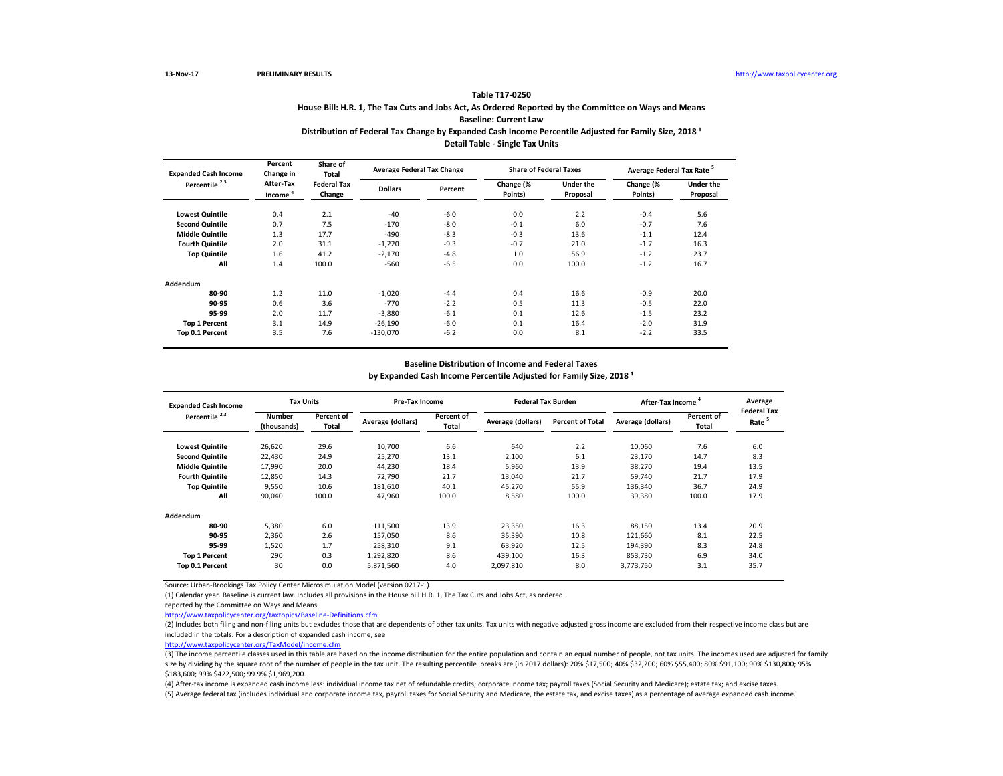# **House Bill: H.R. 1, The Tax Cuts and Jobs Act, As Ordered Reported by the Committee on Ways and Means**

**Baseline: Current Law**

### Distribution of Federal Tax Change by Expanded Cash Income Percentile Adjusted for Family Size, 2018<sup>1</sup> **Detail Table - Single Tax Units**

| <b>Expanded Cash Income</b> | Percent<br>Change in             | Share of<br>Total            | <b>Average Federal Tax Change</b> |         |                      | <b>Share of Federal Taxes</b> | Average Federal Tax Rate <sup>5</sup> |                              |  |
|-----------------------------|----------------------------------|------------------------------|-----------------------------------|---------|----------------------|-------------------------------|---------------------------------------|------------------------------|--|
| Percentile <sup>2,3</sup>   | After-Tax<br>Income <sup>4</sup> | <b>Federal Tax</b><br>Change | <b>Dollars</b>                    | Percent | Change (%<br>Points) | <b>Under the</b><br>Proposal  | Change (%<br>Points)                  | <b>Under the</b><br>Proposal |  |
| <b>Lowest Quintile</b>      | 0.4                              | 2.1                          | $-40$                             | $-6.0$  | 0.0                  | 2.2                           | $-0.4$                                | 5.6                          |  |
| <b>Second Quintile</b>      | 0.7                              | 7.5                          | $-170$                            | $-8.0$  | $-0.1$               | 6.0                           | $-0.7$                                | 7.6                          |  |
| <b>Middle Quintile</b>      | 1.3                              | 17.7                         | $-490$                            | $-8.3$  | $-0.3$               | 13.6                          | $-1.1$                                | 12.4                         |  |
| <b>Fourth Quintile</b>      | 2.0                              | 31.1                         | $-1,220$                          | $-9.3$  | $-0.7$               | 21.0                          | $-1.7$                                | 16.3                         |  |
| <b>Top Quintile</b>         | 1.6                              | 41.2                         | $-2.170$                          | $-4.8$  | 1.0                  | 56.9                          | $-1.2$                                | 23.7                         |  |
| All                         | 1.4                              | 100.0                        | $-560$                            | $-6.5$  | 0.0                  | 100.0                         | $-1.2$                                | 16.7                         |  |
| Addendum                    |                                  |                              |                                   |         |                      |                               |                                       |                              |  |
| 80-90                       | 1.2                              | 11.0                         | $-1.020$                          | $-4.4$  | 0.4                  | 16.6                          | $-0.9$                                | 20.0                         |  |
| 90-95                       | 0.6                              | 3.6                          | $-770$                            | $-2.2$  | 0.5                  | 11.3                          | $-0.5$                                | 22.0                         |  |
| 95-99                       | 2.0                              | 11.7                         | $-3,880$                          | $-6.1$  | 0.1                  | 12.6                          | $-1.5$                                | 23.2                         |  |
| <b>Top 1 Percent</b>        | 3.1                              | 14.9                         | $-26.190$                         | $-6.0$  | 0.1                  | 16.4                          | $-2.0$                                | 31.9                         |  |
| Top 0.1 Percent             | 3.5                              | 7.6                          | $-130,070$                        | $-6.2$  | 0.0                  | 8.1                           | $-2.2$                                | 33.5                         |  |

#### **Baseline Distribution of Income and Federal Taxes**

by Expanded Cash Income Percentile Adjusted for Family Size, 2018<sup>1</sup>

| <b>Expanded Cash Income</b> |                              | <b>Tax Units</b>    |                   | <b>Pre-Tax Income</b>      |                   | <b>Federal Tax Burden</b> | After-Tax Income  |                     | Average                                 |
|-----------------------------|------------------------------|---------------------|-------------------|----------------------------|-------------------|---------------------------|-------------------|---------------------|-----------------------------------------|
| Percentile <sup>2,3</sup>   | <b>Number</b><br>(thousands) | Percent of<br>Total | Average (dollars) | Percent of<br><b>Total</b> | Average (dollars) | <b>Percent of Total</b>   | Average (dollars) | Percent of<br>Total | <b>Federal Tax</b><br>Rate <sup>5</sup> |
| <b>Lowest Quintile</b>      | 26,620                       | 29.6                | 10,700            | 6.6                        | 640               | 2.2                       | 10,060            | 7.6                 | 6.0                                     |
| <b>Second Quintile</b>      | 22,430                       | 24.9                | 25,270            | 13.1                       | 2,100             | 6.1                       | 23,170            | 14.7                | 8.3                                     |
| <b>Middle Quintile</b>      | 17,990                       | 20.0                | 44,230            | 18.4                       | 5,960             | 13.9                      | 38,270            | 19.4                | 13.5                                    |
| <b>Fourth Quintile</b>      | 12,850                       | 14.3                | 72,790            | 21.7                       | 13,040            | 21.7                      | 59.740            | 21.7                | 17.9                                    |
| <b>Top Quintile</b>         | 9,550                        | 10.6                | 181,610           | 40.1                       | 45,270            | 55.9                      | 136,340           | 36.7                | 24.9                                    |
| All                         | 90,040                       | 100.0               | 47,960            | 100.0                      | 8,580             | 100.0                     | 39,380            | 100.0               | 17.9                                    |
| Addendum                    |                              |                     |                   |                            |                   |                           |                   |                     |                                         |
| 80-90                       | 5,380                        | 6.0                 | 111,500           | 13.9                       | 23,350            | 16.3                      | 88,150            | 13.4                | 20.9                                    |
| 90-95                       | 2,360                        | 2.6                 | 157,050           | 8.6                        | 35,390            | 10.8                      | 121,660           | 8.1                 | 22.5                                    |
| 95-99                       | 1,520                        | 1.7                 | 258,310           | 9.1                        | 63,920            | 12.5                      | 194,390           | 8.3                 | 24.8                                    |
| <b>Top 1 Percent</b>        | 290                          | 0.3                 | 1,292,820         | 8.6                        | 439.100           | 16.3                      | 853,730           | 6.9                 | 34.0                                    |
| Top 0.1 Percent             | 30                           | 0.0                 | 5,871,560         | 4.0                        | 2,097,810         | 8.0                       | 3,773,750         | 3.1                 | 35.7                                    |

Source: Urban-Brookings Tax Policy Center Microsimulation Model (version 0217-1).

(1) Calendar year. Baseline is current law. Includes all provisions in the House bill H.R. 1, The Tax Cuts and Jobs Act, as ordered

reported by the Committee on Ways and Means.

<http://www.taxpolicycenter.org/taxtopics/Baseline-Definitions.cfm>

(2) Includes both filing and non-filing units but excludes those that are dependents of other tax units. Tax units with negative adjusted gross income are excluded from their respective income class but are included in the totals. For a description of expanded cash income, see

[http://www.taxpolicycente](http://www.taxpolicycenter.org/TaxModel/income.cfm)r.org/TaxModel/income.cfm

(3) The income percentile classes used in this table are based on the income distribution for the entire population and contain an equal number of people, not tax units. The incomes used are adjusted for family size by dividing by the square root of the number of people in the tax unit. The resulting percentile breaks are (in 2017 dollars): 20% \$17,500; 40% \$32,200; 60% \$55,400; 80% \$91,100; 90% \$130,800; 91% \$183,600; 99% \$422,500; 99.9% \$1,969,200.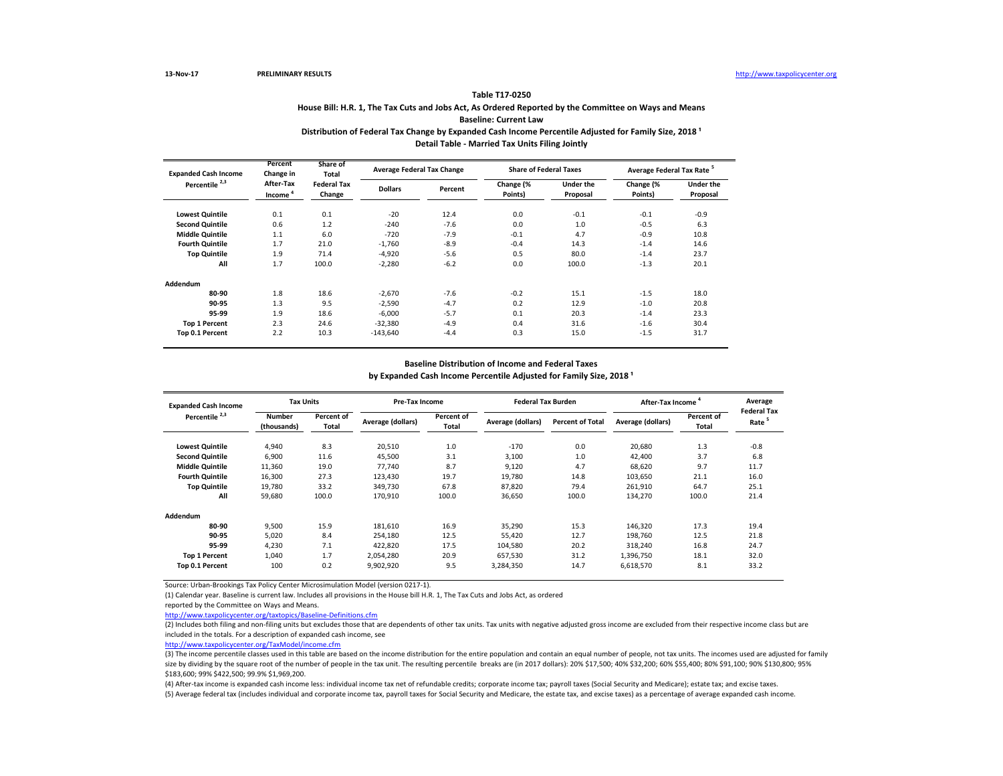# **House Bill: H.R. 1, The Tax Cuts and Jobs Act, As Ordered Reported by the Committee on Ways and Means**

**Baseline: Current Law**

#### Distribution of Federal Tax Change by Expanded Cash Income Percentile Adjusted for Family Size, 2018<sup>1</sup> **Detail Table - Married Tax Units Filing Jointly**

|  | Detail Table - Married Tax Units Films Jointly |  |  |
|--|------------------------------------------------|--|--|
|  |                                                |  |  |

| <b>Expanded Cash Income</b> | Percent<br>Change in             | Share of<br>Total            | <b>Average Federal Tax Change</b> |         | <b>Share of Federal Taxes</b> |                              | Average Federal Tax Rate <sup>5</sup> |                              |  |
|-----------------------------|----------------------------------|------------------------------|-----------------------------------|---------|-------------------------------|------------------------------|---------------------------------------|------------------------------|--|
| Percentile <sup>2,3</sup>   | After-Tax<br>Income <sup>4</sup> | <b>Federal Tax</b><br>Change | <b>Dollars</b>                    | Percent | Change (%<br>Points)          | <b>Under the</b><br>Proposal | Change (%<br>Points)                  | <b>Under the</b><br>Proposal |  |
| <b>Lowest Quintile</b>      | 0.1                              | 0.1                          | $-20$                             | 12.4    | 0.0                           | $-0.1$                       | $-0.1$                                | $-0.9$                       |  |
| <b>Second Quintile</b>      | 0.6                              | 1.2                          | $-240$                            | $-7.6$  | 0.0                           | 1.0                          | $-0.5$                                | 6.3                          |  |
| <b>Middle Quintile</b>      | 1.1                              | 6.0                          | $-720$                            | $-7.9$  | $-0.1$                        | 4.7                          | $-0.9$                                | 10.8                         |  |
| <b>Fourth Quintile</b>      | 1.7                              | 21.0                         | $-1,760$                          | $-8.9$  | $-0.4$                        | 14.3                         | $-1.4$                                | 14.6                         |  |
| <b>Top Quintile</b>         | 1.9                              | 71.4                         | $-4,920$                          | $-5.6$  | 0.5                           | 80.0                         | $-1.4$                                | 23.7                         |  |
| All                         | 1.7                              | 100.0                        | $-2,280$                          | $-6.2$  | 0.0                           | 100.0                        | $-1.3$                                | 20.1                         |  |
| Addendum                    |                                  |                              |                                   |         |                               |                              |                                       |                              |  |
| 80-90                       | 1.8                              | 18.6                         | $-2.670$                          | $-7.6$  | $-0.2$                        | 15.1                         | $-1.5$                                | 18.0                         |  |
| 90-95                       | 1.3                              | 9.5                          | $-2,590$                          | $-4.7$  | 0.2                           | 12.9                         | $-1.0$                                | 20.8                         |  |
| 95-99                       | 1.9                              | 18.6                         | $-6.000$                          | $-5.7$  | 0.1                           | 20.3                         | $-1.4$                                | 23.3                         |  |
| <b>Top 1 Percent</b>        | 2.3                              | 24.6                         | $-32,380$                         | $-4.9$  | 0.4                           | 31.6                         | $-1.6$                                | 30.4                         |  |
| Top 0.1 Percent             | 2.2                              | 10.3                         | $-143,640$                        | $-4.4$  | 0.3                           | 15.0                         | $-1.5$                                | 31.7                         |  |

#### **Baseline Distribution of Income and Federal Taxes**

by Expanded Cash Income Percentile Adjusted for Family Size, 2018<sup>1</sup>

| <b>Expanded Cash Income</b> |                              | <b>Tax Units</b>    |                   | <b>Pre-Tax Income</b> |                   | <b>Federal Tax Burden</b> | After-Tax Income  |                            | Average                                 |
|-----------------------------|------------------------------|---------------------|-------------------|-----------------------|-------------------|---------------------------|-------------------|----------------------------|-----------------------------------------|
| Percentile <sup>2,3</sup>   | <b>Number</b><br>(thousands) | Percent of<br>Total | Average (dollars) | Percent of<br>Total   | Average (dollars) | <b>Percent of Total</b>   | Average (dollars) | Percent of<br><b>Total</b> | <b>Federal Tax</b><br>Rate <sup>5</sup> |
| <b>Lowest Quintile</b>      | 4,940                        | 8.3                 | 20,510            | 1.0                   | $-170$            | 0.0                       | 20.680            | 1.3                        | $-0.8$                                  |
| <b>Second Quintile</b>      | 6,900                        | 11.6                | 45,500            | 3.1                   | 3,100             | 1.0                       | 42.400            | 3.7                        | 6.8                                     |
| <b>Middle Quintile</b>      | 11,360                       | 19.0                | 77.740            | 8.7                   | 9,120             | 4.7                       | 68.620            | 9.7                        | 11.7                                    |
| <b>Fourth Quintile</b>      | 16,300                       | 27.3                | 123,430           | 19.7                  | 19,780            | 14.8                      | 103,650           | 21.1                       | 16.0                                    |
| <b>Top Quintile</b>         | 19,780                       | 33.2                | 349,730           | 67.8                  | 87,820            | 79.4                      | 261,910           | 64.7                       | 25.1                                    |
| All                         | 59,680                       | 100.0               | 170,910           | 100.0                 | 36,650            | 100.0                     | 134,270           | 100.0                      | 21.4                                    |
| Addendum                    |                              |                     |                   |                       |                   |                           |                   |                            |                                         |
| 80-90                       | 9,500                        | 15.9                | 181,610           | 16.9                  | 35,290            | 15.3                      | 146,320           | 17.3                       | 19.4                                    |
| 90-95                       | 5,020                        | 8.4                 | 254,180           | 12.5                  | 55,420            | 12.7                      | 198,760           | 12.5                       | 21.8                                    |
| 95-99                       | 4,230                        | 7.1                 | 422,820           | 17.5                  | 104,580           | 20.2                      | 318.240           | 16.8                       | 24.7                                    |
| <b>Top 1 Percent</b>        | 1.040                        | 1.7                 | 2,054,280         | 20.9                  | 657.530           | 31.2                      | 1,396,750         | 18.1                       | 32.0                                    |
| Top 0.1 Percent             | 100                          | 0.2                 | 9,902,920         | 9.5                   | 3,284,350         | 14.7                      | 6,618,570         | 8.1                        | 33.2                                    |

Source: Urban-Brookings Tax Policy Center Microsimulation Model (version 0217-1).

(1) Calendar year. Baseline is current law. Includes all provisions in the House bill H.R. 1, The Tax Cuts and Jobs Act, as ordered

reported by the Committee on Ways and Means.

<http://www.taxpolicycenter.org/taxtopics/Baseline-Definitions.cfm>

(2) Includes both filing and non-filing units but excludes those that are dependents of other tax units. Tax units with negative adjusted gross income are excluded from their respective income class but are included in the totals. For a description of expanded cash income, see

[http://www.taxpolicycente](http://www.taxpolicycenter.org/TaxModel/income.cfm)r.org/TaxModel/income.cfm

(3) The income percentile classes used in this table are based on the income distribution for the entire population and contain an equal number of people, not tax units. The incomes used are adjusted for family size by dividing by the square root of the number of people in the tax unit. The resulting percentile breaks are (in 2017 dollars): 20% \$17,500; 40% \$32,200; 60% \$55,400; 80% \$91,100; 90% \$130,800; 91% \$183,600; 99% \$422,500; 99.9% \$1,969,200.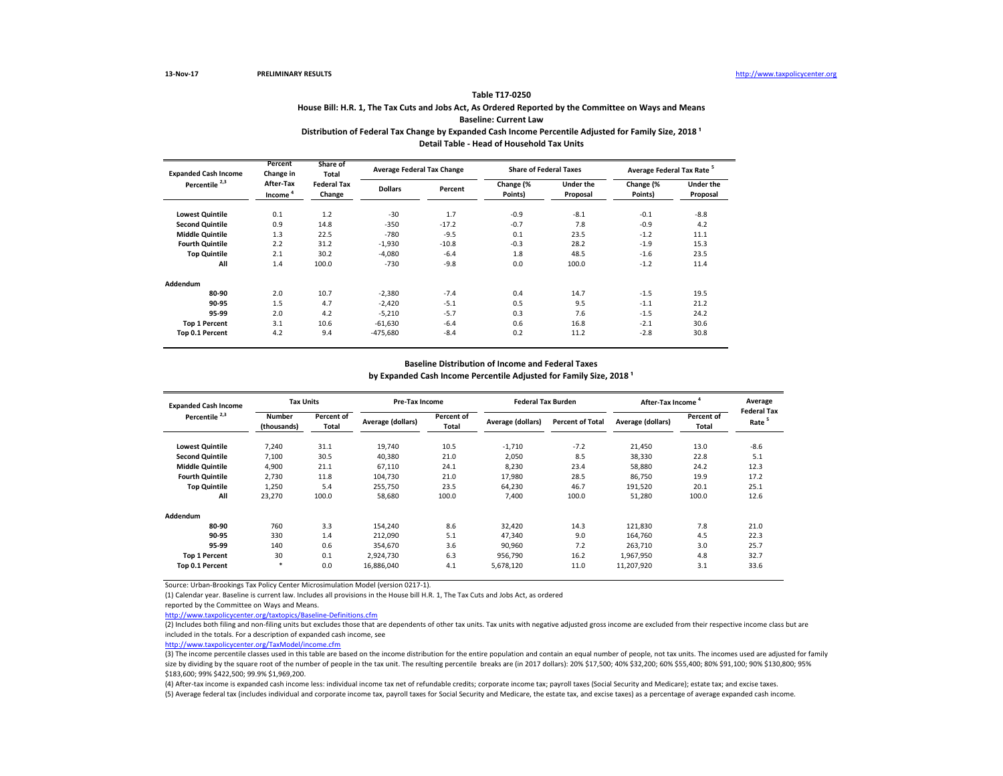# **House Bill: H.R. 1, The Tax Cuts and Jobs Act, As Ordered Reported by the Committee on Ways and Means**

### **Baseline: Current Law**

### Distribution of Federal Tax Change by Expanded Cash Income Percentile Adjusted for Family Size, 2018<sup>1</sup> **Detail Table - Head of Household Tax Units**

| <b>Expanded Cash Income</b> | Percent<br>Change in             | Share of<br>Total            | <b>Average Federal Tax Change</b> |         | <b>Share of Federal Taxes</b> |                              | Average Federal Tax Rate <sup>5</sup> |                       |  |
|-----------------------------|----------------------------------|------------------------------|-----------------------------------|---------|-------------------------------|------------------------------|---------------------------------------|-----------------------|--|
| Percentile <sup>2,3</sup>   | After-Tax<br>Income <sup>4</sup> | <b>Federal Tax</b><br>Change | <b>Dollars</b>                    | Percent | Change (%<br>Points)          | <b>Under the</b><br>Proposal | Change (%<br>Points)                  | Under the<br>Proposal |  |
| <b>Lowest Quintile</b>      | 0.1                              | 1.2                          | $-30$                             | 1.7     | $-0.9$                        | $-8.1$                       | $-0.1$                                | $-8.8$                |  |
| <b>Second Quintile</b>      | 0.9                              | 14.8                         | $-350$                            | $-17.2$ | $-0.7$                        | 7.8                          | $-0.9$                                | 4.2                   |  |
| <b>Middle Quintile</b>      | 1.3                              | 22.5                         | $-780$                            | $-9.5$  | 0.1                           | 23.5                         | $-1.2$                                | 11.1                  |  |
| <b>Fourth Quintile</b>      | 2.2                              | 31.2                         | $-1,930$                          | $-10.8$ | $-0.3$                        | 28.2                         | $-1.9$                                | 15.3                  |  |
| <b>Top Quintile</b>         | 2.1                              | 30.2                         | $-4.080$                          | $-6.4$  | 1.8                           | 48.5                         | $-1.6$                                | 23.5                  |  |
| All                         | 1.4                              | 100.0                        | $-730$                            | $-9.8$  | 0.0                           | 100.0                        | $-1.2$                                | 11.4                  |  |
| Addendum                    |                                  |                              |                                   |         |                               |                              |                                       |                       |  |
| 80-90                       | 2.0                              | 10.7                         | $-2,380$                          | $-7.4$  | 0.4                           | 14.7                         | $-1.5$                                | 19.5                  |  |
| 90-95                       | 1.5                              | 4.7                          | $-2,420$                          | $-5.1$  | 0.5                           | 9.5                          | $-1.1$                                | 21.2                  |  |
| 95-99                       | 2.0                              | 4.2                          | $-5,210$                          | $-5.7$  | 0.3                           | 7.6                          | $-1.5$                                | 24.2                  |  |
| <b>Top 1 Percent</b>        | 3.1                              | 10.6                         | $-61,630$                         | $-6.4$  | 0.6                           | 16.8                         | $-2.1$                                | 30.6                  |  |
| Top 0.1 Percent             | 4.2                              | 9.4                          | $-475,680$                        | $-8.4$  | 0.2                           | 11.2                         | $-2.8$                                | 30.8                  |  |

#### **Baseline Distribution of Income and Federal Taxes**

by Expanded Cash Income Percentile Adjusted for Family Size, 2018<sup>1</sup>

| <b>Expanded Cash Income</b> | <b>Tax Units</b>             |                     | <b>Pre-Tax Income</b> |                     | <b>Federal Tax Burden</b> |                         | After-Tax Income  |                     | Average                                 |
|-----------------------------|------------------------------|---------------------|-----------------------|---------------------|---------------------------|-------------------------|-------------------|---------------------|-----------------------------------------|
| Percentile <sup>2,3</sup>   | <b>Number</b><br>(thousands) | Percent of<br>Total | Average (dollars)     | Percent of<br>Total | Average (dollars)         | <b>Percent of Total</b> | Average (dollars) | Percent of<br>Total | <b>Federal Tax</b><br>Rate <sup>5</sup> |
| <b>Lowest Quintile</b>      | 7,240                        | 31.1                | 19,740                | 10.5                | $-1,710$                  | $-7.2$                  | 21,450            | 13.0                | $-8.6$                                  |
| <b>Second Quintile</b>      | 7,100                        | 30.5                | 40,380                | 21.0                | 2,050                     | 8.5                     | 38,330            | 22.8                | 5.1                                     |
| <b>Middle Quintile</b>      | 4,900                        | 21.1                | 67,110                | 24.1                | 8,230                     | 23.4                    | 58,880            | 24.2                | 12.3                                    |
| <b>Fourth Quintile</b>      | 2.730                        | 11.8                | 104,730               | 21.0                | 17,980                    | 28.5                    | 86,750            | 19.9                | 17.2                                    |
| <b>Top Quintile</b>         | 1,250                        | 5.4                 | 255,750               | 23.5                | 64,230                    | 46.7                    | 191,520           | 20.1                | 25.1                                    |
| All                         | 23,270                       | 100.0               | 58,680                | 100.0               | 7,400                     | 100.0                   | 51,280            | 100.0               | 12.6                                    |
| Addendum                    |                              |                     |                       |                     |                           |                         |                   |                     |                                         |
| 80-90                       | 760                          | 3.3                 | 154,240               | 8.6                 | 32,420                    | 14.3                    | 121,830           | 7.8                 | 21.0                                    |
| 90-95                       | 330                          | 1.4                 | 212,090               | 5.1                 | 47,340                    | 9.0                     | 164,760           | 4.5                 | 22.3                                    |
| 95-99                       | 140                          | 0.6                 | 354.670               | 3.6                 | 90,960                    | 7.2                     | 263.710           | 3.0                 | 25.7                                    |
| <b>Top 1 Percent</b>        | 30                           | 0.1                 | 2,924,730             | 6.3                 | 956,790                   | 16.2                    | 1,967,950         | 4.8                 | 32.7                                    |
| Top 0.1 Percent             | $*$                          | 0.0                 | 16,886,040            | 4.1                 | 5,678,120                 | 11.0                    | 11,207,920        | 3.1                 | 33.6                                    |

Source: Urban-Brookings Tax Policy Center Microsimulation Model (version 0217-1).

(1) Calendar year. Baseline is current law. Includes all provisions in the House bill H.R. 1, The Tax Cuts and Jobs Act, as ordered

reported by the Committee on Ways and Means.

<http://www.taxpolicycenter.org/taxtopics/Baseline-Definitions.cfm>

(2) Includes both filing and non-filing units but excludes those that are dependents of other tax units. Tax units with negative adjusted gross income are excluded from their respective income class but are included in the totals. For a description of expanded cash income, see

[http://www.taxpolicycente](http://www.taxpolicycenter.org/TaxModel/income.cfm)r.org/TaxModel/income.cfm

(3) The income percentile classes used in this table are based on the income distribution for the entire population and contain an equal number of people, not tax units. The incomes used are adjusted for family size by dividing by the square root of the number of people in the tax unit. The resulting percentile breaks are (in 2017 dollars): 20% \$17,500; 40% \$32,200; 60% \$55,400; 80% \$91,100; 90% \$130,800; 91% \$183,600; 99% \$422,500; 99.9% \$1,969,200.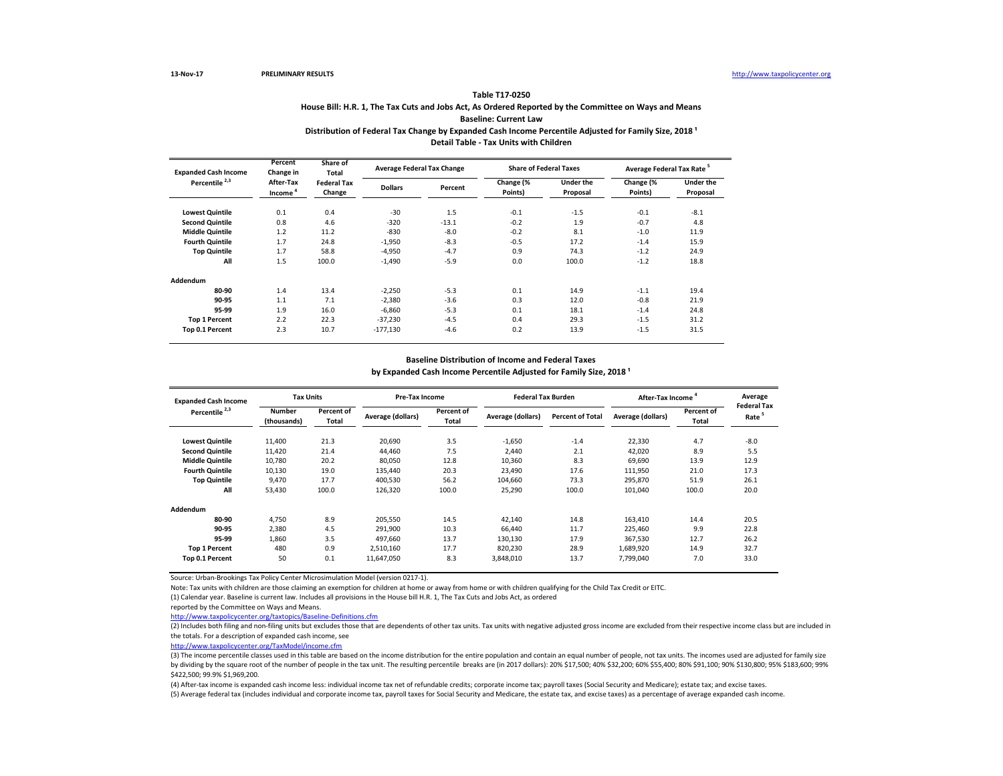**13-Nov-17 PRELIMINARY RESULTS** [http://www.tax](http://www.taxpolicycenter.org/)policycenter.org

#### **Table T17-0250**

### **House Bill: H.R. 1, The Tax Cuts and Jobs Act, As Ordered Reported by the Committee on Ways and Means Baseline: Current Law**

#### Distribution of Federal Tax Change by Expanded Cash Income Percentile Adjusted for Family Size, 2018<sup>1</sup> **Detail Table - Tax Units with Children**

| <b>Expanded Cash Income</b><br>Percentile <sup>2,3</sup> | Percent<br>Change in<br>After-Tax<br>Income <sup>4</sup> | Share of<br>Total<br><b>Federal Tax</b><br>Change | <b>Average Federal Tax Change</b> |         | <b>Share of Federal Taxes</b> |                              | Average Federal Tax Rate <sup>5</sup> |                              |
|----------------------------------------------------------|----------------------------------------------------------|---------------------------------------------------|-----------------------------------|---------|-------------------------------|------------------------------|---------------------------------------|------------------------------|
|                                                          |                                                          |                                                   | <b>Dollars</b>                    | Percent | Change (%<br>Points)          | <b>Under the</b><br>Proposal | Change (%<br>Points)                  | <b>Under the</b><br>Proposal |
| <b>Lowest Quintile</b>                                   | 0.1                                                      | 0.4                                               | $-30$                             | 1.5     | $-0.1$                        | $-1.5$                       | $-0.1$                                | $-8.1$                       |
| <b>Second Quintile</b>                                   | 0.8                                                      | 4.6                                               | $-320$                            | $-13.1$ | $-0.2$                        | 1.9                          | $-0.7$                                | 4.8                          |
| <b>Middle Quintile</b>                                   | 1.2                                                      | 11.2                                              | $-830$                            | $-8.0$  | $-0.2$                        | 8.1                          | $-1.0$                                | 11.9                         |
| <b>Fourth Quintile</b>                                   | 1.7                                                      | 24.8                                              | $-1,950$                          | $-8.3$  | $-0.5$                        | 17.2                         | $-1.4$                                | 15.9                         |
| <b>Top Quintile</b>                                      | 1.7                                                      | 58.8                                              | $-4.950$                          | $-4.7$  | 0.9                           | 74.3                         | $-1.2$                                | 24.9                         |
| All                                                      | 1.5                                                      | 100.0                                             | $-1,490$                          | $-5.9$  | 0.0                           | 100.0                        | $-1.2$                                | 18.8                         |
| Addendum                                                 |                                                          |                                                   |                                   |         |                               |                              |                                       |                              |
| 80-90                                                    | 1.4                                                      | 13.4                                              | $-2.250$                          | $-5.3$  | 0.1                           | 14.9                         | $-1.1$                                | 19.4                         |
| 90-95                                                    | 1.1                                                      | 7.1                                               | $-2,380$                          | $-3.6$  | 0.3                           | 12.0                         | $-0.8$                                | 21.9                         |
| 95-99                                                    | 1.9                                                      | 16.0                                              | $-6,860$                          | $-5.3$  | 0.1                           | 18.1                         | $-1.4$                                | 24.8                         |
| <b>Top 1 Percent</b>                                     | 2.2                                                      | 22.3                                              | $-37,230$                         | $-4.5$  | 0.4                           | 29.3                         | $-1.5$                                | 31.2                         |
| Top 0.1 Percent                                          | 2.3                                                      | 10.7                                              | $-177,130$                        | $-4.6$  | 0.2                           | 13.9                         | $-1.5$                                | 31.5                         |

#### **Baseline Distribution of Income and Federal Taxes**

#### by Expanded Cash Income Percentile Adjusted for Family Size, 2018<sup>1</sup>

| <b>Expanded Cash Income</b> | <b>Tax Units</b>             |                     | <b>Pre-Tax Income</b> |                     | <b>Federal Tax Burden</b> |                         | After-Tax Income  |                     | Average<br><b>Federal Tax</b> |
|-----------------------------|------------------------------|---------------------|-----------------------|---------------------|---------------------------|-------------------------|-------------------|---------------------|-------------------------------|
| Percentile <sup>2,3</sup>   | <b>Number</b><br>(thousands) | Percent of<br>Total | Average (dollars)     | Percent of<br>Total | Average (dollars)         | <b>Percent of Total</b> | Average (dollars) | Percent of<br>Total | Rate <sup>5</sup>             |
| <b>Lowest Quintile</b>      | 11,400                       | 21.3                | 20.690                | 3.5                 | $-1,650$                  | $-1.4$                  | 22,330            | 4.7                 | $-8.0$                        |
| <b>Second Quintile</b>      | 11,420                       | 21.4                | 44.460                | 7.5                 | 2.440                     | 2.1                     | 42,020            | 8.9                 | 5.5                           |
| <b>Middle Quintile</b>      | 10.780                       | 20.2                | 80.050                | 12.8                | 10.360                    | 8.3                     | 69.690            | 13.9                | 12.9                          |
| <b>Fourth Quintile</b>      | 10,130                       | 19.0                | 135.440               | 20.3                | 23,490                    | 17.6                    | 111,950           | 21.0                | 17.3                          |
| <b>Top Quintile</b>         | 9,470                        | 17.7                | 400,530               | 56.2                | 104,660                   | 73.3                    | 295,870           | 51.9                | 26.1                          |
| All                         | 53,430                       | 100.0               | 126,320               | 100.0               | 25,290                    | 100.0                   | 101,040           | 100.0               | 20.0                          |
| Addendum                    |                              |                     |                       |                     |                           |                         |                   |                     |                               |
| 80-90                       | 4,750                        | 8.9                 | 205,550               | 14.5                | 42,140                    | 14.8                    | 163,410           | 14.4                | 20.5                          |
| 90-95                       | 2,380                        | 4.5                 | 291,900               | 10.3                | 66.440                    | 11.7                    | 225,460           | 9.9                 | 22.8                          |
| 95-99                       | 1,860                        | 3.5                 | 497.660               | 13.7                | 130.130                   | 17.9                    | 367,530           | 12.7                | 26.2                          |
| <b>Top 1 Percent</b>        | 480                          | 0.9                 | 2,510,160             | 17.7                | 820,230                   | 28.9                    | 1,689,920         | 14.9                | 32.7                          |
| Top 0.1 Percent             | 50                           | 0.1                 | 11,647,050            | 8.3                 | 3,848,010                 | 13.7                    | 7,799,040         | 7.0                 | 33.0                          |

Source: Urban-Brookings Tax Policy Center Microsimulation Model (version 0217-1).

Note: Tax units with children are those claiming an exemption for children at home or away from home or with children qualifying for the Child Tax Credit or EITC.

(1) Calendar year. Baseline is current law. Includes all provisions in the House bill H.R. 1, The Tax Cuts and Jobs Act, as ordered

reported by the Committee on Ways and Means.

<http://www.taxpolicycenter.org/taxtopics/Baseline-Definitions.cfm>

(2) Includes both filing and non-filing units but excludes those that are dependents of other tax units. Tax units with negative adjusted gross income are excluded from their respective income class but are included in the totals. For a description of expanded cash income, see

[http://www.taxpolicycente](http://www.taxpolicycenter.org/TaxModel/income.cfm)r.org/TaxModel/income.cfm

(3) The income percentile classes used in this table are based on the income distribution for the entire population and contain an equal number of people, not tax units. The incomes used are adjusted for family size by dividing by the square root of the number of people in the tax unit. The resulting percentile breaks are (in 2017 dollars): 20% \$17,500; 40% \$32,200; 60% \$55,400; 80% \$91,100; 90% \$130,800; 95% \$183,600; 99% \$422,500; 99.9% \$1,969,200.